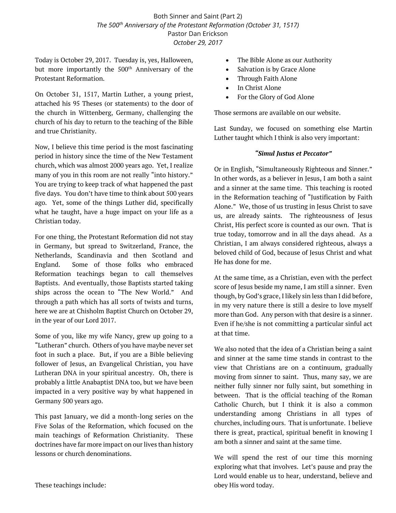## Both Sinner and Saint (Part 2) *The 500th Anniversary of the Protestant Reformation (October 31, 1517)* Pastor Dan Erickson *October 29, 2017*

Today is October 29, 2017. Tuesday is, yes, Halloween, but more importantly the 500<sup>th</sup> Anniversary of the Protestant Reformation.

On October 31, 1517, Martin Luther, a young priest, attached his 95 Theses (or statements) to the door of the church in Wittenberg, Germany, challenging the church of his day to return to the teaching of the Bible and true Christianity.

Now, I believe this time period is the most fascinating period in history since the time of the New Testament church, which was almost 2000 years ago. Yet, I realize many of you in this room are not really "into history." You are trying to keep track of what happened the past five days. You don't have time to think about 500 years ago. Yet, some of the things Luther did, specifically what he taught, have a huge impact on your life as a Christian today.

For one thing, the Protestant Reformation did not stay in Germany, but spread to Switzerland, France, the Netherlands, Scandinavia and then Scotland and England. Some of those folks who embraced Reformation teachings began to call themselves Baptists. And eventually, those Baptists started taking ships across the ocean to "The New World." And through a path which has all sorts of twists and turns, here we are at Chisholm Baptist Church on October 29, in the year of our Lord 2017.

Some of you, like my wife Nancy, grew up going to a "Lutheran" church. Others of you have maybe never set foot in such a place. But, if you are a Bible believing follower of Jesus, an Evangelical Christian, you have Lutheran DNA in your spiritual ancestry. Oh, there is probably a little Anabaptist DNA too, but we have been impacted in a very positive way by what happened in Germany 500 years ago.

This past January, we did a month-long series on the Five Solas of the Reformation, which focused on the main teachings of Reformation Christianity. These doctrines have far more impact on our lives than history lessons or church denominations.

- Salvation is by Grace Alone
- Through Faith Alone
- In Christ Alone
- For the Glory of God Alone

Those sermons are available on our website.

Last Sunday, we focused on something else Martin Luther taught which I think is also very important:

### *"Simul Justus et Peccator"*

Or in English, "Simultaneously Righteous and Sinner." In other words, as a believer in Jesus, I am both a saint and a sinner at the same time. This teaching is rooted in the Reformation teaching of "Justification by Faith Alone." We, those of us trusting in Jesus Christ to save us, are already saints. The righteousness of Jesus Christ, His perfect score is counted as our own. That is true today, tomorrow and in all the days ahead. As a Christian, I am always considered righteous, always a beloved child of God, because of Jesus Christ and what He has done for me.

At the same time, as a Christian, even with the perfect score of Jesus beside my name, I am still a sinner. Even though, by God's grace, I likely sin less than I did before, in my very nature there is still a desire to love myself more than God. Any person with that desire is a sinner. Even if he/she is not committing a particular sinful act at that time.

We also noted that the idea of a Christian being a saint and sinner at the same time stands in contrast to the view that Christians are on a continuum, gradually moving from sinner to saint. Thus, many say, we are neither fully sinner nor fully saint, but something in between. That is the official teaching of the Roman Catholic Church, but I think it is also a common understanding among Christians in all types of churches, including ours. That is unfortunate. I believe there is great, practical, spiritual benefit in knowing I am both a sinner and saint at the same time.

We will spend the rest of our time this morning exploring what that involves. Let's pause and pray the Lord would enable us to hear, understand, believe and obey His word today.

These teachings include: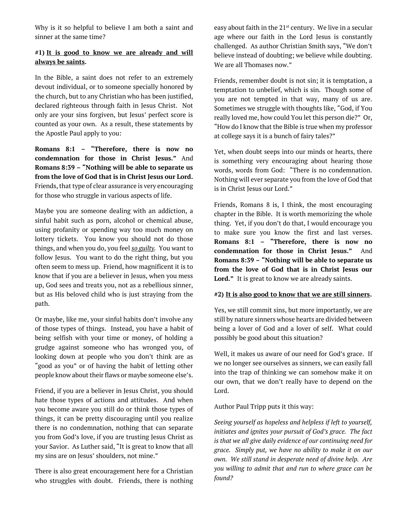Why is it so helpful to believe I am both a saint and sinner at the same time?

## **#1) It is good to know we are already and will always be saints.**

In the Bible, a saint does not refer to an extremely devout individual, or to someone specially honored by the church, but to any Christian who has been justified, declared righteous through faith in Jesus Christ. Not only are your sins forgiven, but Jesus' perfect score is counted as your own. As a result, these statements by the Apostle Paul apply to you:

**Romans 8:1 – "Therefore, there is now no condemnation for those in Christ Jesus."** And **Romans 8:39 – "Nothing will be able to separate us from the love of God that is in Christ Jesus our Lord.**  Friends, that type of clear assurance is very encouraging for those who struggle in various aspects of life.

Maybe you are someone dealing with an addiction, a sinful habit such as porn, alcohol or chemical abuse, using profanity or spending way too much money on lottery tickets. You know you should not do those things, and when you do, you feel *so guilty.* You want to follow Jesus. You want to do the right thing, but you often seem to mess up. Friend, how magnificent it is to know that if you are a believer in Jesus, when you mess up, God sees and treats you, not as a rebellious sinner, but as His beloved child who is just straying from the path.

Or maybe, like me, your sinful habits don't involve any of those types of things. Instead, you have a habit of being selfish with your time or money, of holding a grudge against someone who has wronged you, of looking down at people who you don't think are as "good as you" or of having the habit of letting other people know about their flaws or maybe someone else's.

Friend, if you are a believer in Jesus Christ, you should hate those types of actions and attitudes. And when you become aware you still do or think those types of things, it can be pretty discouraging until you realize there is no condemnation, nothing that can separate you from God's love, if you are trusting Jesus Christ as your Savior. As Luther said, "It is great to know that all my sins are on Jesus' shoulders, not mine."

There is also great encouragement here for a Christian who struggles with doubt. Friends, there is nothing easy about faith in the  $21<sup>st</sup>$  century. We live in a secular age where our faith in the Lord Jesus is constantly challenged. As author Christian Smith says, "We don't believe instead of doubting; we believe while doubting. We are all Thomases now."

Friends, remember doubt is not sin; it is temptation, a temptation to unbelief, which is sin. Though some of you are not tempted in that way, many of us are. Sometimes we struggle with thoughts like, "God, if You really loved me, how could You let this person die?" Or, "How do I know that the Bible is true when my professor at college says it is a bunch of fairy tales?"

Yet, when doubt seeps into our minds or hearts, there is something very encouraging about hearing those words, words from God: "There is no condemnation. Nothing will ever separate you from the love of God that is in Christ Jesus our Lord."

Friends, Romans 8 is, I think, the most encouraging chapter in the Bible. It is worth memorizing the whole thing. Yet, if you don't do that, I would encourage you to make sure you know the first and last verses. **Romans 8:1 – "Therefore, there is now no condemnation for those in Christ Jesus."** And **Romans 8:39 – "Nothing will be able to separate us from the love of God that is in Christ Jesus our**  Lord." It is great to know we are already saints.

### **#2) It is also good to know that we are still sinners.**

Yes, we still commit sins, but more importantly, we are still by nature sinners whose hearts are divided between being a lover of God and a lover of self. What could possibly be good about this situation?

Well, it makes us aware of our need for God's grace. If we no longer see ourselves as sinners, we can easily fall into the trap of thinking we can somehow make it on our own, that we don't really have to depend on the Lord.

Author Paul Tripp puts it this way:

*Seeing yourself as hopeless and helpless if left to yourself, initiates and ignites your pursuit of God's grace. The fact is that we all give daily evidence of our continuing need for grace. Simply put, we have no ability to make it on our own. We still stand in desperate need of divine help. Are you willing to admit that and run to where grace can be found?*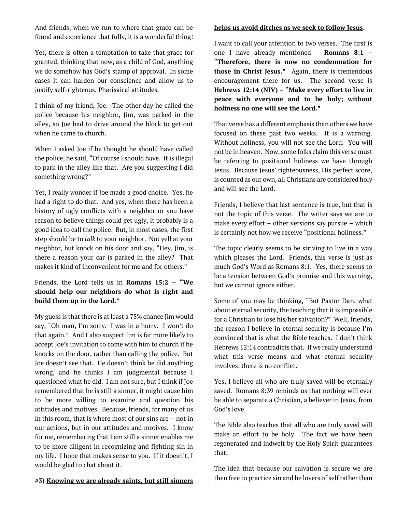And friends, when we run to where that grace can be found and experience that fully, it is a wonderful thing!

Yet, there is often a temptation to take that grace for granted, thinking that now, as a child of God, anything we do somehow has God's stamp of approval. In some cases it can harden our conscience and allow us to justify self-righteous, Pharisaical attitudes.

I think of my friend, Joe. The other day he called the police because his neighbor, Jim, was parked in the alley, so Joe had to drive around the block to get out when he came to church.

When I asked Joe if he thought he should have called the police, he said, "Of course I should have. It is illegal to park in the alley like that. Are you suggesting I did something wrong?"

Yet, I really wonder if Joe made a good choice. Yes, he had a right to do that. And yes, when there has been a history of ugly conflicts with a neighbor or you have reason to believe things could get ugly, it probably is a good idea to call the police. But, in most cases, the first step should be to *talk* to your neighbor. Not yell at your neighbor, but knock on his door and say, "Hey, Jim, is there a reason your car is parked in the alley? That makes it kind of inconvenient for me and for others."

## Friends, the Lord tells us in **Romans 15:2 – "We should help our neighbors do what is right and build them up in the Lord."**

My guess is that there is at least a 75% chance Jim would say, "Oh man, I'm sorry. I was in a hurry. I won't do that again." And I also suspect Jim is far more likely to accept Joe's invitation to come with him to church if he knocks on the door, rather than calling the police. But Joe doesn't see that. He doesn't think he did anything wrong, and he thinks I am judgmental because I questioned what he did. I am not sure, but I think if Joe remembered that he is still a sinner, it might cause him to be more willing to examine and question his attitudes and motives. Because, friends, for many of us in this room, that is where most of our sins are – not in our actions, but in our attitudes and motives. I know for me, remembering that I am still a sinner enables me to be more diligent in recognizing and fighting sin in my life. I hope that makes sense to you. If it doesn't, I would be glad to chat about it.

# **#3) Knowing we are already saints, but still sinners**

#### **helps us avoid ditches as we seek to follow Jesus.**

I want to call your attention to two verses. The first is one I have already mentioned – **Romans 8:1 – "Therefore, there is now no condemnation for those in Christ Jesus."** Again, there is tremendous encouragement there for us. The second verse is **Hebrews 12:14 (NIV) – "Make every effort to live in peace with everyone and to be holy; without holiness no one will see the Lord."**

That verse has a different emphasis than others we have focused on these past two weeks. It is a warning. Without holiness, you will not see the Lord. You will not be in heaven. Now, some folks claim this verse must be referring to positional holiness we have through Jesus. Because Jesus' righteousness, His perfect score, is counted as our own, all Christians are considered holy and will see the Lord.

Friends, I believe that last sentence is true, but that is not the topic of this verse. The writer says we are to make every effort – other versions say pursue – which is certainly not how we receive "positional holiness."

The topic clearly seems to be striving to live in a way which pleases the Lord. Friends, this verse is just as much God's Word as Romans 8:1. Yes, there seems to be a tension between God's promise and this warning, but we cannot ignore either.

Some of you may be thinking, "But Pastor Dan, what about eternal security, the teaching that it is impossible for a Christian to lose his/her salvation?" Well, friends, the reason I believe in eternal security is because I'm convinced that is what the Bible teaches. I don't think Hebrews 12:14 contradicts that. If we really understand what this verse means and what eternal security involves, there is no conflict.

Yes, I believe all who are truly saved will be eternally saved. Romans 8:39 reminds us that nothing will ever be able to separate a Christian, a believer in Jesus, from God's love.

The Bible also teaches that all who are truly saved will make an effort to be holy. The fact we have been regenerated and indwelt by the Holy Spirit guarantees that.

The idea that because our salvation is secure we are then free to practice sin and be lovers of self rather than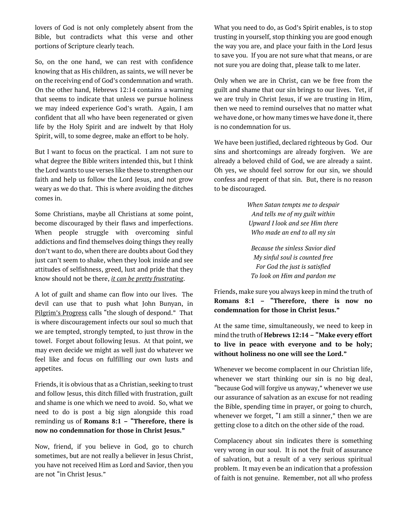lovers of God is not only completely absent from the Bible, but contradicts what this verse and other portions of Scripture clearly teach.

So, on the one hand, we can rest with confidence knowing that as His children, as saints, we will never be on the receiving end of God's condemnation and wrath. On the other hand, Hebrews 12:14 contains a warning that seems to indicate that unless we pursue holiness we may indeed experience God's wrath. Again, I am confident that all who have been regenerated or given life by the Holy Spirit and are indwelt by that Holy Spirit, will, to some degree, make an effort to be holy.

But I want to focus on the practical. I am not sure to what degree the Bible writers intended this, but I think the Lord wants to use verses like these to strengthen our faith and help us follow the Lord Jesus, and not grow weary as we do that. This is where avoiding the ditches comes in.

Some Christians, maybe all Christians at some point, become discouraged by their flaws and imperfections. When people struggle with overcoming sinful addictions and find themselves doing things they really don't want to do, when there are doubts about God they just can't seem to shake, when they look inside and see attitudes of selfishness, greed, lust and pride that they know should not be there, *it can be pretty frustrating*.

A lot of guilt and shame can flow into our lives. The devil can use that to push what John Bunyan, in Pilgrim's Progress calls "the slough of despond." That is where discouragement infects our soul so much that we are tempted, strongly tempted, to just throw in the towel. Forget about following Jesus. At that point, we may even decide we might as well just do whatever we feel like and focus on fulfilling our own lusts and appetites.

Friends, it is obvious that as a Christian, seeking to trust and follow Jesus, this ditch filled with frustration, guilt and shame is one which we need to avoid. So, what we need to do is post a big sign alongside this road reminding us of **Romans 8:1 – "Therefore, there is now no condemnation for those in Christ Jesus."**

Now, friend, if you believe in God, go to church sometimes, but are not really a believer in Jesus Christ, you have not received Him as Lord and Savior, then you are not "in Christ Jesus."

What you need to do, as God's Spirit enables, is to stop trusting in yourself, stop thinking you are good enough the way you are, and place your faith in the Lord Jesus to save you. If you are not sure what that means, or are not sure you are doing that, please talk to me later.

Only when we are in Christ, can we be free from the guilt and shame that our sin brings to our lives. Yet, if we are truly in Christ Jesus, if we are trusting in Him, then we need to remind ourselves that no matter what we have done, or how many times we have done it, there is no condemnation for us.

We have been justified, declared righteous by God. Our sins and shortcomings are already forgiven. We are already a beloved child of God, we are already a saint. Oh yes, we should feel sorrow for our sin, we should confess and repent of that sin. But, there is no reason to be discouraged.

> *When Satan tempts me to despair And tells me of my guilt within Upward I look and see Him there Who made an end to all my sin*

*Because the sinless Savior died My sinful soul is counted free For God the just is satisfied To look on Him and pardon me*

Friends, make sure you always keep in mind the truth of **Romans 8:1 – "Therefore, there is now no condemnation for those in Christ Jesus."**

At the same time, simultaneously, we need to keep in mind the truth of **Hebrews 12:14 – "Make every effort to live in peace with everyone and to be holy; without holiness no one will see the Lord."**

Whenever we become complacent in our Christian life, whenever we start thinking our sin is no big deal, "because God will forgive us anyway," whenever we use our assurance of salvation as an excuse for not reading the Bible, spending time in prayer, or going to church, whenever we forget, "I am still a sinner," then we are getting close to a ditch on the other side of the road.

Complacency about sin indicates there is something very wrong in our soul. It is not the fruit of assurance of salvation, but a result of a very serious spiritual problem. It may even be an indication that a profession of faith is not genuine. Remember, not all who profess